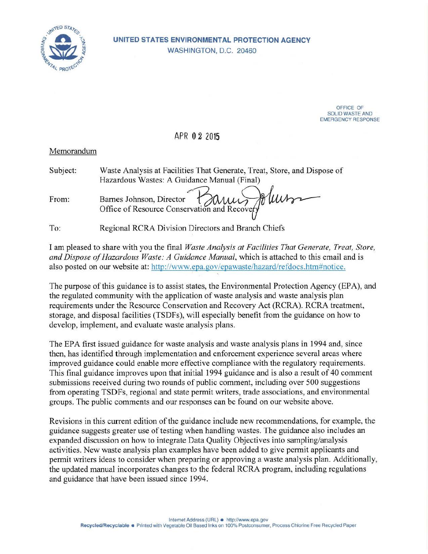

OFFICE OF SOLID WASTE AND EMERGENCY RESPONSE

## APR 0 2 2015

## Memorandum

| Subject: | Waste Analysis at Facilities That Generate, Treat, Store, and Dispose of |
|----------|--------------------------------------------------------------------------|
|          | Hazardous Wastes: A Guidance Manual (Final)                              |
| From:    | Barnes Johnson, Director Conservation and Recovery                       |

To: Regional RCRA Division Directors and Branch Chiefs

I am pleased to share with you the final *Waste Analysis at Facilities That Generate, Treat, Store, and Dispose of Hazardous Waste: A Guidance Manual,* which is attached to this email and is also posted on our website at: http://www.epa.gov/epawaste/hazard/refdocs.htm#notice.

The purpose of this guidance is to assist states, the Environmental Protection Agency (EPA), and the regulated community with the application of waste analysis and waste analysis plan requirements under the Resource Conservation and Recovery Act (RCRA). RCRA treatment, storage, and disposal facilities (TSDFs), will especially benefit from the guidance on how to develop, implement, and evaluate waste analysis plans.

The EPA first issued guidance for waste analysis and waste analysis plans in 1994 and, since then, has identified through implementation and enforcement experience several areas where improved guidance could enable more effective compliance with the regulatory requirements. This final guidance improves upon that initial 1994 guidance and is also a result of 40 comment submissions received during two rounds of public comment, including over 500 suggestions from operating TSDFs, regional and state permit writers, trade associations, and environmental groups. The public comments and our responses can be found on our website above.

Revisions in this current edition of the guidance include new recommendations, for example, the guidance suggests greater use of testing when handling wastes. The guidance also includes an expanded discussion on how to integrate Data Quality Objectives into sampling/analysis activities. New waste analysis plan examples have been added to give permit applicants and permit writers ideas to consider when preparing or approving a waste analysis plan. Additionally, the updated manual incorporates changes to the federal RCRA program, including regulations and guidance that have been issued since 1994.